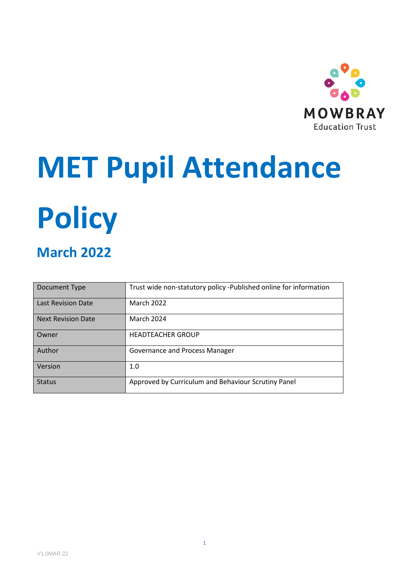

# **MET Pupil Attendance**

# **Policy**

# **March 2022**

| Document Type             | Trust wide non-statutory policy -Published online for information |
|---------------------------|-------------------------------------------------------------------|
| <b>Last Revision Date</b> | <b>March 2022</b>                                                 |
| <b>Next Revision Date</b> | <b>March 2024</b>                                                 |
| Owner                     | <b>HEADTEACHER GROUP</b>                                          |
| Author                    | <b>Governance and Process Manager</b>                             |
| Version                   | 1.0                                                               |
| <b>Status</b>             | Approved by Curriculum and Behaviour Scrutiny Panel               |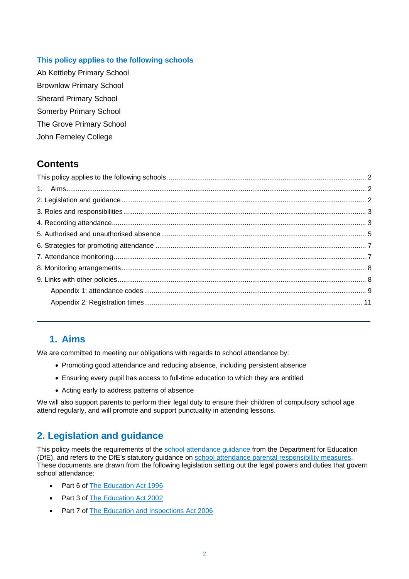#### <span id="page-1-0"></span>**This policy applies to the following schools**

Ab Kettleby Primary School Brownlow Primary School Sherard Primary School Somerby Primary School The Grove Primary School John Ferneley College

# **Contents**

# <span id="page-1-1"></span>**1. Aims**

We are committed to meeting our obligations with regards to school attendance by:

- Promoting good attendance and reducing absence, including persistent absence
- Ensuring every pupil has access to full-time education to which they are entitled
- Acting early to address patterns of absence

We will also support parents to perform their legal duty to ensure their children of compulsory school age attend regularly, and will promote and support punctuality in attending lessons.

# <span id="page-1-2"></span>**2. Legislation and guidance**

This policy meets the requirements of the [school attendance guidance](https://www.gov.uk/government/publications/school-attendance) from the Department for Education (DfE), and refers to the DfE's statutory guidance on [school attendance parental responsibility](https://www.gov.uk/government/publications/parental-responsibility-measures-for-behaviour-and-attendance) measures. These documents are drawn from the following legislation setting out the legal powers and duties that govern school attendance:

- Part 6 of [The Education Act 1996](https://www.legislation.gov.uk/ukpga/1996/56/part/VI/chapter/II)
- Part 3 of [The Education Act 2002](http://www.legislation.gov.uk/ukpga/2002/32/part/3/chapter/3)
- Part 7 of [The Education and Inspections Act 2006](http://www.legislation.gov.uk/ukpga/2006/40/part/7/chapter/2/crossheading/school-attendance)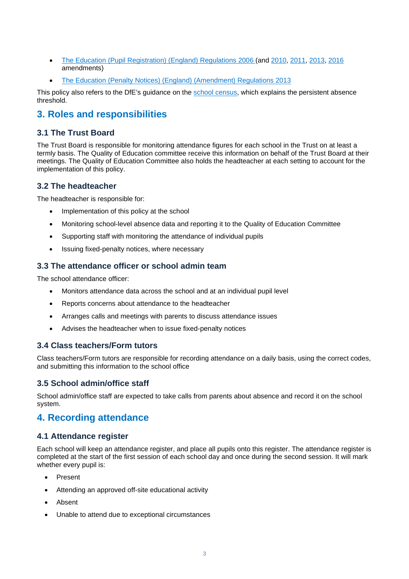- [The Education \(Pupil Registration\) \(England\) Regulations 2006](http://www.legislation.gov.uk/uksi/2006/1751/contents/made) (and [2010,](https://www.legislation.gov.uk/uksi/2010/1725/regulation/2/made) [2011,](https://www.legislation.gov.uk/uksi/2011/1625/made) [2013,](https://www.legislation.gov.uk/uksi/2013/756/made) [2016](https://www.legislation.gov.uk/uksi/2016/792/made/data.html) amendments)
- [The Education \(Penalty Notices\) \(England\) \(Amendment\) Regulations 2013](https://www.legislation.gov.uk/uksi/2013/757/regulation/2/made)

This policy also refers to the DfE's guidance on the [school census,](https://www.gov.uk/guidance/complete-the-school-census) which explains the persistent absence threshold.

## <span id="page-2-0"></span>**3. Roles and responsibilities**

#### **3.1 The Trust Board**

The Trust Board is responsible for monitoring attendance figures for each school in the Trust on at least a termly basis. The Quality of Education committee receive this information on behalf of the Trust Board at their meetings. The Quality of Education Committee also holds the headteacher at each setting to account for the implementation of this policy.

#### **3.2 The headteacher**

The headteacher is responsible for:

- Implementation of this policy at the school
- Monitoring school-level absence data and reporting it to the Quality of Education Committee
- Supporting staff with monitoring the attendance of individual pupils
- Issuing fixed-penalty notices, where necessary

#### **3.3 The attendance officer or school admin team**

The school attendance officer:

- Monitors attendance data across the school and at an individual pupil level
- Reports concerns about attendance to the headteacher
- Arranges calls and meetings with parents to discuss attendance issues
- Advises the headteacher when to issue fixed-penalty notices

#### **3.4 Class teachers/Form tutors**

Class teachers/Form tutors are responsible for recording attendance on a daily basis, using the correct codes, and submitting this information to the school office

#### **3.5 School admin/office staff**

School admin/office staff are expected to take calls from parents about absence and record it on the school system.

## <span id="page-2-1"></span>**4. Recording attendance**

#### **4.1 Attendance register**

Each school will keep an attendance register, and place all pupils onto this register. The attendance register is completed at the start of the first session of each school day and once during the second session. It will mark whether every pupil is:

- **Present**
- Attending an approved off-site educational activity
- Absent
- Unable to attend due to exceptional circumstances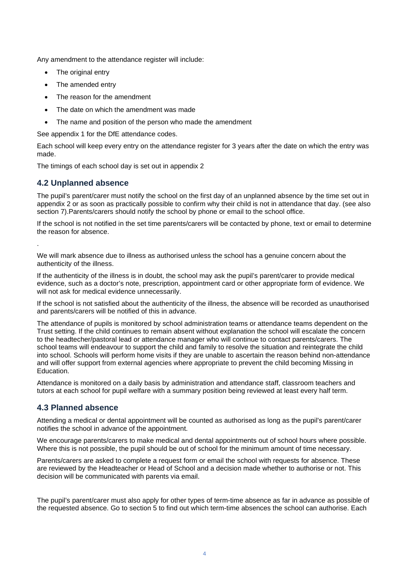Any amendment to the attendance register will include:

- The original entry
- The amended entry
- The reason for the amendment
- The date on which the amendment was made
- The name and position of the person who made the amendment

See appendix 1 for the DfE attendance codes.

Each school will keep every entry on the attendance register for 3 years after the date on which the entry was made.

The timings of each school day is set out in appendix 2

#### **4.2 Unplanned absence**

.

The pupil's parent/carer must notify the school on the first day of an unplanned absence by the time set out in appendix 2 or as soon as practically possible to confirm why their child is not in attendance that day. (see also section 7). Parents/carers should notify the school by phone or email to the school office.

If the school is not notified in the set time parents/carers will be contacted by phone, text or email to determine the reason for absence.

We will mark absence due to illness as authorised unless the school has a genuine concern about the authenticity of the illness.

If the authenticity of the illness is in doubt, the school may ask the pupil's parent/carer to provide medical evidence, such as a doctor's note, prescription, appointment card or other appropriate form of evidence. We will not ask for medical evidence unnecessarily.

If the school is not satisfied about the authenticity of the illness, the absence will be recorded as unauthorised and parents/carers will be notified of this in advance.

The attendance of pupils is monitored by school administration teams or attendance teams dependent on the Trust setting. If the child continues to remain absent without explanation the school will escalate the concern to the headtecher/pastoral lead or attendance manager who will continue to contact parents/carers. The school teams will endeavour to support the child and family to resolve the situation and reintegrate the child into school. Schools will perform home visits if they are unable to ascertain the reason behind non-attendance and will offer support from external agencies where appropriate to prevent the child becoming Missing in Education.

Attendance is monitored on a daily basis by administration and attendance staff, classroom teachers and tutors at each school for pupil welfare with a summary position being reviewed at least every half term.

#### **4.3 Planned absence**

Attending a medical or dental appointment will be counted as authorised as long as the pupil's parent/carer notifies the school in advance of the appointment.

We encourage parents/carers to make medical and dental appointments out of school hours where possible. Where this is not possible, the pupil should be out of school for the minimum amount of time necessary.

Parents/carers are asked to complete a request form or email the school with requests for absence. These are reviewed by the Headteacher or Head of School and a decision made whether to authorise or not. This decision will be communicated with parents via email.

The pupil's parent/carer must also apply for other types of term-time absence as far in advance as possible of the requested absence. Go to section 5 to find out which term-time absences the school can authorise. Each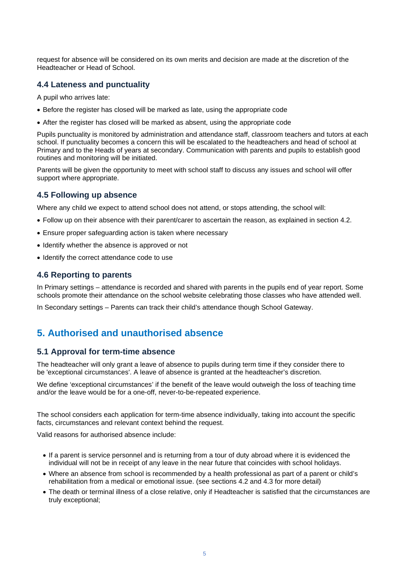request for absence will be considered on its own merits and decision are made at the discretion of the Headteacher or Head of School.

#### **4.4 Lateness and punctuality**

A pupil who arrives late:

- Before the register has closed will be marked as late, using the appropriate code
- After the register has closed will be marked as absent, using the appropriate code

Pupils punctuality is monitored by administration and attendance staff, classroom teachers and tutors at each school. If punctuality becomes a concern this will be escalated to the headteachers and head of school at Primary and to the Heads of years at secondary. Communication with parents and pupils to establish good routines and monitoring will be initiated.

Parents will be given the opportunity to meet with school staff to discuss any issues and school will offer support where appropriate.

#### **4.5 Following up absence**

Where any child we expect to attend school does not attend, or stops attending, the school will:

- Follow up on their absence with their parent/carer to ascertain the reason, as explained in section 4.2.
- Ensure proper safeguarding action is taken where necessary
- Identify whether the absence is approved or not
- Identify the correct attendance code to use

#### **4.6 Reporting to parents**

In Primary settings – attendance is recorded and shared with parents in the pupils end of year report. Some schools promote their attendance on the school website celebrating those classes who have attended well.

In Secondary settings – Parents can track their child's attendance though School Gateway.

## <span id="page-4-0"></span>**5. Authorised and unauthorised absence**

#### **5.1 Approval for term-time absence**

The headteacher will only grant a leave of absence to pupils during term time if they consider there to be 'exceptional circumstances'. A leave of absence is granted at the headteacher's discretion.

We define 'exceptional circumstances' if the benefit of the leave would outweigh the loss of teaching time and/or the leave would be for a one-off, never-to-be-repeated experience.

The school considers each application for term-time absence individually, taking into account the specific facts, circumstances and relevant context behind the request.

Valid reasons for authorised absence include:

- If a parent is service personnel and is returning from a tour of duty abroad where it is evidenced the individual will not be in receipt of any leave in the near future that coincides with school holidays.
- Where an absence from school is recommended by a health professional as part of a parent or child's rehabilitation from a medical or emotional issue. (see sections 4.2 and 4.3 for more detail)
- The death or terminal illness of a close relative, only if Headteacher is satisfied that the circumstances are truly exceptional;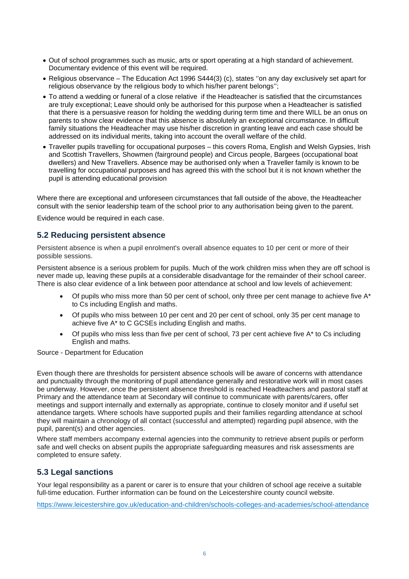- Out of school programmes such as music, arts or sport operating at a high standard of achievement. Documentary evidence of this event will be required.
- Religious observance The Education Act 1996 S444(3) (c), states ''on any day exclusively set apart for religious observance by the religious body to which his/her parent belongs'';
- To attend a wedding or funeral of a close relative if the Headteacher is satisfied that the circumstances are truly exceptional; Leave should only be authorised for this purpose when a Headteacher is satisfied that there is a persuasive reason for holding the wedding during term time and there WILL be an onus on parents to show clear evidence that this absence is absolutely an exceptional circumstance. In difficult family situations the Headteacher may use his/her discretion in granting leave and each case should be addressed on its individual merits, taking into account the overall welfare of the child.
- Traveller pupils travelling for occupational purposes this covers Roma, English and Welsh Gypsies, Irish and Scottish Travellers, Showmen (fairground people) and Circus people, Bargees (occupational boat dwellers) and New Travellers. Absence may be authorised only when a Traveller family is known to be travelling for occupational purposes and has agreed this with the school but it is not known whether the pupil is attending educational provision

Where there are exceptional and unforeseen circumstances that fall outside of the above, the Headteacher consult with the senior leadership team of the school prior to any authorisation being given to the parent.

Evidence would be required in each case.

#### **5.2 Reducing persistent absence**

Persistent absence is when a pupil enrolment's overall absence equates to 10 per cent or more of their possible sessions.

Persistent absence is a serious problem for pupils. Much of the work children miss when they are off school is never made up, leaving these pupils at a considerable disadvantage for the remainder of their school career. There is also clear evidence of a link between poor attendance at school and low levels of achievement:

- Of pupils who miss more than 50 per cent of school, only three per cent manage to achieve five  $A^*$ to Cs including English and maths.
- Of pupils who miss between 10 per cent and 20 per cent of school, only 35 per cent manage to achieve five A\* to C GCSEs including English and maths.
- Of pupils who miss less than five per cent of school, 73 per cent achieve five  $A^*$  to Cs including English and maths.

Source - Department for Education

Even though there are thresholds for persistent absence schools will be aware of concerns with attendance and punctuality through the monitoring of pupil attendance generally and restorative work will in most cases be underway. However, once the persistent absence threshold is reached Headteachers and pastoral staff at Primary and the attendance team at Secondary will continue to communicate with parents/carers, offer meetings and support internally and externally as appropriate, continue to closely monitor and if useful set attendance targets. Where schools have supported pupils and their families regarding attendance at school they will maintain a chronology of all contact (successful and attempted) regarding pupil absence, with the pupil, parent(s) and other agencies.

Where staff members accompany external agencies into the community to retrieve absent pupils or perform safe and well checks on absent pupils the appropriate safeguarding measures and risk assessments are completed to ensure safety.

#### **5.3 Legal sanctions**

Your legal responsibility as a parent or carer is to ensure that your children of school age receive a suitable full-time education. Further information can be found on the Leicestershire county council website.

<https://www.leicestershire.gov.uk/education-and-children/schools-colleges-and-academies/school-attendance>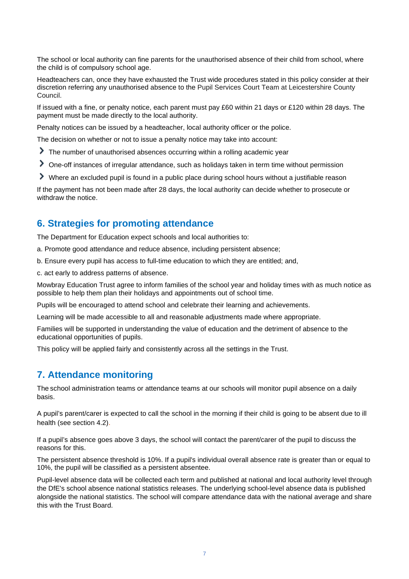The school or local authority can fine parents for the unauthorised absence of their child from school, where the child is of compulsory school age.

Headteachers can, once they have exhausted the Trust wide procedures stated in this policy consider at their discretion referring any unauthorised absence to the Pupil Services Court Team at Leicestershire County Council.

If issued with a fine, or penalty notice, each parent must pay £60 within 21 days or £120 within 28 days. The payment must be made directly to the local authority.

Penalty notices can be issued by a headteacher, local authority officer or the police.

The decision on whether or not to issue a penalty notice may take into account:

- The number of unauthorised absences occurring within a rolling academic year
- One-off instances of irregular attendance, such as holidays taken in term time without permission
- Where an excluded pupil is found in a public place during school hours without a justifiable reason

If the payment has not been made after 28 days, the local authority can decide whether to prosecute or withdraw the notice.

#### <span id="page-6-0"></span>**6. Strategies for promoting attendance**

The Department for Education expect schools and local authorities to:

- a. Promote good attendance and reduce absence, including persistent absence;
- b. Ensure every pupil has access to full-time education to which they are entitled; and,
- c. act early to address patterns of absence.

Mowbray Education Trust agree to inform families of the school year and holiday times with as much notice as possible to help them plan their holidays and appointments out of school time.

Pupils will be encouraged to attend school and celebrate their learning and achievements.

Learning will be made accessible to all and reasonable adjustments made where appropriate.

Families will be supported in understanding the value of education and the detriment of absence to the educational opportunities of pupils.

This policy will be applied fairly and consistently across all the settings in the Trust.

#### <span id="page-6-1"></span>**7. Attendance monitoring**

The school administration teams or attendance teams at our schools will monitor pupil absence on a daily basis.

A pupil's parent/carer is expected to call the school in the morning if their child is going to be absent due to ill health (see section 4.2).

If a pupil's absence goes above 3 days, the school will contact the parent/carer of the pupil to discuss the reasons for this.

The persistent absence threshold is 10%. If a pupil's individual overall absence rate is greater than or equal to 10%, the pupil will be classified as a persistent absentee.

Pupil-level absence data will be collected each term and published at national and local authority level through the DfE's school absence national statistics releases. The underlying school-level absence data is published alongside the national statistics. The school will compare attendance data with the national average and share this with the Trust Board.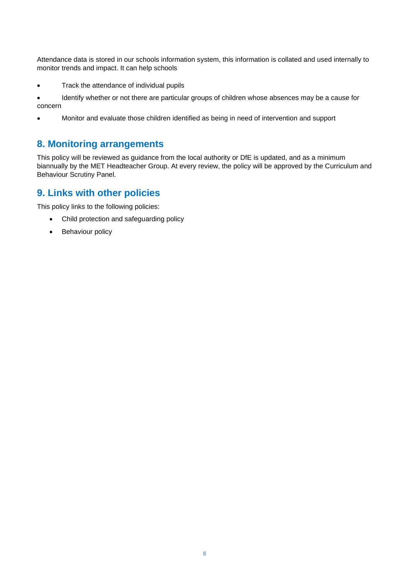Attendance data is stored in our schools information system, this information is collated and used internally to monitor trends and impact. It can help schools

- Track the attendance of individual pupils
- Identify whether or not there are particular groups of children whose absences may be a cause for concern
- Monitor and evaluate those children identified as being in need of intervention and support

### <span id="page-7-0"></span>**8. Monitoring arrangements**

This policy will be reviewed as guidance from the local authority or DfE is updated, and as a minimum biannually by the MET Headteacher Group. At every review, the policy will be approved by the Curriculum and Behaviour Scrutiny Panel.

## <span id="page-7-1"></span>**9. Links with other policies**

This policy links to the following policies:

- Child protection and safeguarding policy
- Behaviour policy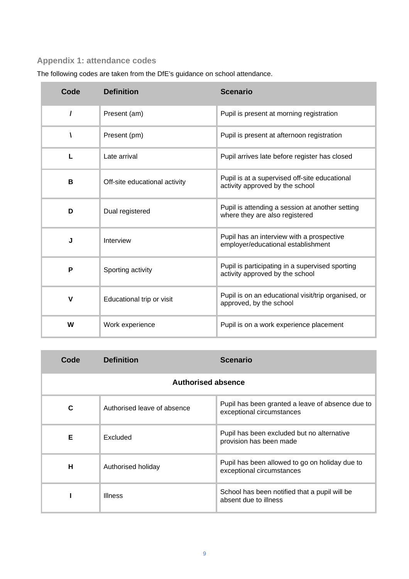# <span id="page-8-0"></span>**Appendix 1: attendance codes**

| Code        | <b>Definition</b>                                          | <b>Scenario</b>                                                                    |  |
|-------------|------------------------------------------------------------|------------------------------------------------------------------------------------|--|
| $\prime$    | Present (am)                                               | Pupil is present at morning registration                                           |  |
|             | Present (pm)                                               | Pupil is present at afternoon registration                                         |  |
| L           | Late arrival                                               | Pupil arrives late before register has closed                                      |  |
| В           | Off-site educational activity                              | Pupil is at a supervised off-site educational<br>activity approved by the school   |  |
| D           | Dual registered                                            | Pupil is attending a session at another setting<br>where they are also registered  |  |
| J           | Interview                                                  | Pupil has an interview with a prospective<br>employer/educational establishment    |  |
| P           | Sporting activity                                          | Pupil is participating in a supervised sporting<br>activity approved by the school |  |
| $\mathbf v$ | Educational trip or visit                                  | Pupil is on an educational visit/trip organised, or<br>approved, by the school     |  |
| W           | Work experience<br>Pupil is on a work experience placement |                                                                                    |  |

The following codes are taken from the DfE's guidance on school attendance.

| Code               | <b>Definition</b>           | <b>Scenario</b>                                                               |  |  |  |
|--------------------|-----------------------------|-------------------------------------------------------------------------------|--|--|--|
| Authorised absence |                             |                                                                               |  |  |  |
| C                  | Authorised leave of absence | Pupil has been granted a leave of absence due to<br>exceptional circumstances |  |  |  |
| Е                  | Excluded                    | Pupil has been excluded but no alternative<br>provision has been made         |  |  |  |
| н                  | Authorised holiday          | Pupil has been allowed to go on holiday due to<br>exceptional circumstances   |  |  |  |
|                    | <b>Illness</b>              | School has been notified that a pupil will be<br>absent due to illness        |  |  |  |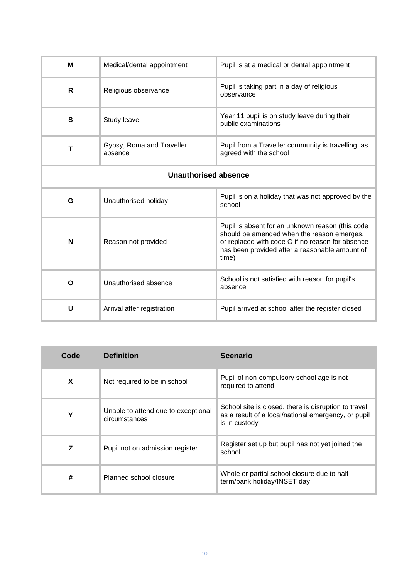| м                           | Medical/dental appointment           | Pupil is at a medical or dental appointment                                                                                                                                                                   |  |  |
|-----------------------------|--------------------------------------|---------------------------------------------------------------------------------------------------------------------------------------------------------------------------------------------------------------|--|--|
| R                           | Religious observance                 | Pupil is taking part in a day of religious<br>observance                                                                                                                                                      |  |  |
| S                           | Study leave                          | Year 11 pupil is on study leave during their<br>public examinations                                                                                                                                           |  |  |
| т                           | Gypsy, Roma and Traveller<br>absence | Pupil from a Traveller community is travelling, as<br>agreed with the school                                                                                                                                  |  |  |
| <b>Unauthorised absence</b> |                                      |                                                                                                                                                                                                               |  |  |
| G                           | Unauthorised holiday                 | Pupil is on a holiday that was not approved by the<br>school                                                                                                                                                  |  |  |
| N                           | Reason not provided                  | Pupil is absent for an unknown reason (this code<br>should be amended when the reason emerges,<br>or replaced with code O if no reason for absence<br>has been provided after a reasonable amount of<br>time) |  |  |
| O                           | Unauthorised absence                 | School is not satisfied with reason for pupil's<br>absence                                                                                                                                                    |  |  |
| U                           | Arrival after registration           | Pupil arrived at school after the register closed                                                                                                                                                             |  |  |

| Code                        | <b>Definition</b>                                    | <b>Scenario</b>                                                                                                              |  |
|-----------------------------|------------------------------------------------------|------------------------------------------------------------------------------------------------------------------------------|--|
| X                           | Not required to be in school                         | Pupil of non-compulsory school age is not<br>required to attend                                                              |  |
| Υ                           | Unable to attend due to exceptional<br>circumstances | School site is closed, there is disruption to travel<br>as a result of a local/national emergency, or pupil<br>is in custody |  |
| Z                           | Pupil not on admission register                      | Register set up but pupil has not yet joined the<br>school                                                                   |  |
| #<br>Planned school closure |                                                      | Whole or partial school closure due to half-<br>term/bank holiday/INSET day                                                  |  |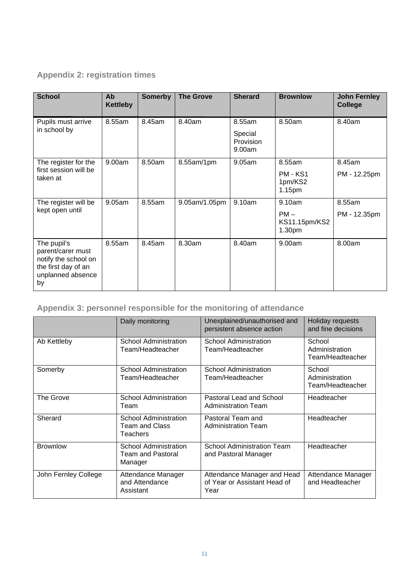# <span id="page-10-0"></span>**Appendix 2: registration times**

| <b>School</b>                                                                                              | Ab<br><b>Kettleby</b> | <b>Somerby</b> | <b>The Grove</b> | <b>Sherard</b>                           | <b>Brownlow</b>                                     | <b>John Fernley</b><br><b>College</b> |
|------------------------------------------------------------------------------------------------------------|-----------------------|----------------|------------------|------------------------------------------|-----------------------------------------------------|---------------------------------------|
| Pupils must arrive<br>in school by                                                                         | 8.55am                | 8.45am         | 8.40am           | 8.55am<br>Special<br>Provision<br>9.00am | 8.50am                                              | 8.40am                                |
| The register for the<br>first session will be<br>taken at                                                  | 9.00am                | 8.50am         | 8.55am/1pm       | 9.05am                                   | 8.55am<br>PM - KS1<br>1pm/KS2<br>1.15 <sub>pm</sub> | 8.45am<br>PM - 12.25pm                |
| The register will be<br>kept open until                                                                    | 9.05am                | 8.55am         | 9.05am/1.05pm    | 9.10am                                   | 9.10am<br>$PM -$<br>KS11.15pm/KS2<br>1.30pm         | 8.55am<br>PM - 12.35pm                |
| The pupil's<br>parent/carer must<br>notify the school on<br>the first day of an<br>unplanned absence<br>by | 8.55am                | 8.45am         | 8.30am           | 8.40am                                   | 9.00am                                              | 8.00am                                |

# **Appendix 3: personnel responsible for the monitoring of attendance**

|                      | Unexplained/unauthorised and<br>Daily monitoring<br>persistent absence action |                                                                     | Holiday requests<br>and fine decisions       |
|----------------------|-------------------------------------------------------------------------------|---------------------------------------------------------------------|----------------------------------------------|
| Ab Kettleby          | School Administration<br>Team/Headteacher                                     | School Administration<br>Team/Headteacher                           | School<br>Administration<br>Team/Headteacher |
| Somerby              | School Administration<br>Team/Headteacher                                     | <b>School Administration</b><br>Team/Headteacher                    | School<br>Administration<br>Team/Headteacher |
| The Grove            | <b>School Administration</b><br>Team                                          | Pastoral Lead and School<br><b>Administration Team</b>              | Headteacher                                  |
| Sherard              | <b>School Administration</b><br>Team and Class<br>Teachers                    | Pastoral Team and<br><b>Administration Team</b>                     | Headteacher                                  |
| <b>Brownlow</b>      | School Administration<br><b>Team and Pastoral</b><br>Manager                  | <b>School Administration Team</b><br>and Pastoral Manager           | Headteacher                                  |
| John Fernley College | Attendance Manager<br>and Attendance<br>Assistant                             | Attendance Manager and Head<br>of Year or Assistant Head of<br>Year | Attendance Manager<br>and Headteacher        |